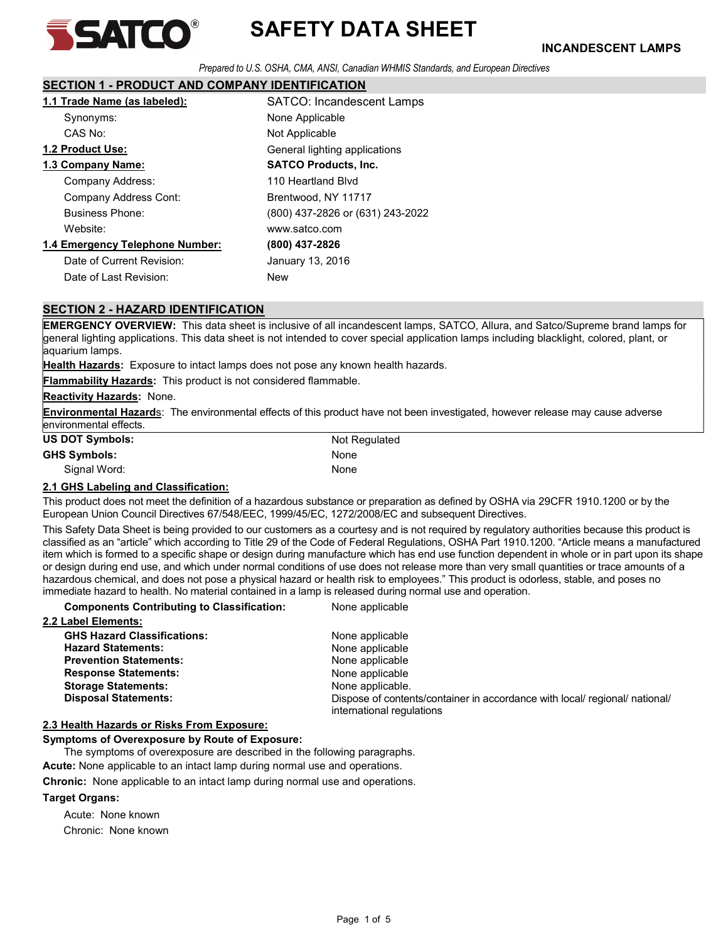

Prepared to U.S. OSHA, CMA, ANSI, Canadian WHMIS Standards, and European Directives

# SECTION 1 - PRODUCT AND COMPANY IDENTIFICATION

| 1.1 Trade Name (as labeled):    | <b>SATCO: Incandescent Lamps</b> |
|---------------------------------|----------------------------------|
| Synonyms:                       | None Applicable                  |
| CAS No:                         | Not Applicable                   |
| 1.2 Product Use:                | General lighting applications    |
| 1.3 Company Name:               | <b>SATCO Products, Inc.</b>      |
| Company Address:                | 110 Heartland Blvd               |
| <b>Company Address Cont:</b>    | Brentwood, NY 11717              |
| <b>Business Phone:</b>          | (800) 437-2826 or (631) 243-2022 |
| Website:                        | www.satco.com                    |
| 1.4 Emergency Telephone Number: | (800) 437-2826                   |
| Date of Current Revision:       | January 13, 2016                 |
| Date of Last Revision:          | New                              |

# SECTION 2 - HAZARD IDENTIFICATION

EMERGENCY OVERVIEW: This data sheet is inclusive of all incandescent lamps, SATCO, Allura, and Satco/Supreme brand lamps for general lighting applications. This data sheet is not intended to cover special application lamps including blacklight, colored, plant, or aquarium lamps.

Health Hazards: Exposure to intact lamps does not pose any known health hazards.

Flammability Hazards: This product is not considered flammable.

#### Reactivity Hazards: None.

Environmental Hazards: The environmental effects of this product have not been investigated, however release may cause adverse environmental effects.

| <b>US DOT Symbols:</b> | Not Regulated |
|------------------------|---------------|
| <b>GHS Symbols:</b>    | None          |
| Signal Word:           | None          |

#### 2.1 GHS Labeling and Classification:

This product does not meet the definition of a hazardous substance or preparation as defined by OSHA via 29CFR 1910.1200 or by the European Union Council Directives 67/548/EEC, 1999/45/EC, 1272/2008/EC and subsequent Directives.

This Safety Data Sheet is being provided to our customers as a courtesy and is not required by regulatory authorities because this product is classified as an "article" which according to Title 29 of the Code of Federal Regulations, OSHA Part 1910.1200. "Article means a manufactured item which is formed to a specific shape or design during manufacture which has end use function dependent in whole or in part upon its shape or design during end use, and which under normal conditions of use does not release more than very small quantities or trace amounts of a hazardous chemical, and does not pose a physical hazard or health risk to employees." This product is odorless, stable, and poses no immediate hazard to health. No material contained in a lamp is released during normal use and operation.

#### Components Contributing to Classification: None applicable

| 2.2 Label Elements:                |                                                                                                          |
|------------------------------------|----------------------------------------------------------------------------------------------------------|
| <b>GHS Hazard Classifications:</b> | None applicable                                                                                          |
| <b>Hazard Statements:</b>          | None applicable                                                                                          |
| <b>Prevention Statements:</b>      | None applicable                                                                                          |
| <b>Response Statements:</b>        | None applicable                                                                                          |
| <b>Storage Statements:</b>         | None applicable.                                                                                         |
| <b>Disposal Statements:</b>        | Dispose of contents/container in accordance with local/ regional/ national/<br>international regulations |

#### 2.3 Health Hazards or Risks From Exposure:

Symptoms of Overexposure by Route of Exposure:

The symptoms of overexposure are described in the following paragraphs.

Acute: None applicable to an intact lamp during normal use and operations.

Chronic: None applicable to an intact lamp during normal use and operations.

#### Target Organs:

Acute: None known

Chronic: None known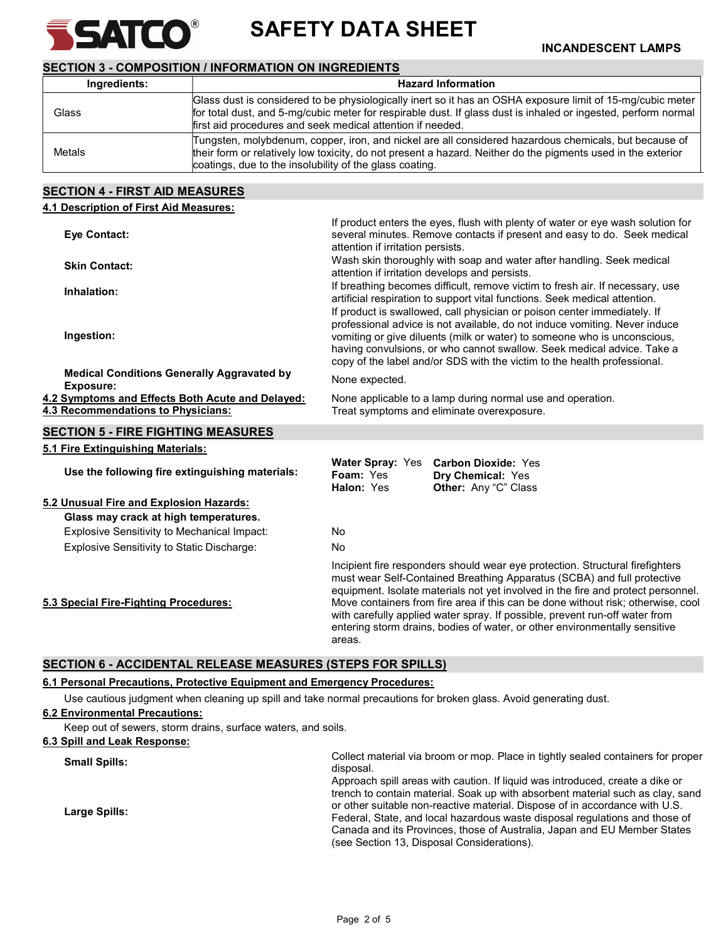

SAFETY DATA SHEET **SATEO**<sup>®</sup> SAFETY DATA SHEET

# SECTION 3 - COMPOSITION / INFORMATION ON INGREDIENTS

| Ingredients: | <b>Hazard Information</b>                                                                                                                                                                                                                                                                  |  |
|--------------|--------------------------------------------------------------------------------------------------------------------------------------------------------------------------------------------------------------------------------------------------------------------------------------------|--|
| Glass        | Glass dust is considered to be physiologically inert so it has an OSHA exposure limit of 15-mg/cubic meter<br>for total dust, and 5-mg/cubic meter for respirable dust. If glass dust is inhaled or ingested, perform normal<br>first aid procedures and seek medical attention if needed. |  |
| Metals       | Tungsten, molybdenum, copper, iron, and nickel are all considered hazardous chemicals, but because of<br>their form or relatively low toxicity, do not present a hazard. Neither do the pigments used in the exterior<br>coatings, due to the insolubility of the glass coating.           |  |

# SECTION 4 - FIRST AID MEASURES

| 4.1 Description of First Aid Measures:                                                 |                                                                                                                                                                                                                                                                                                                                                                                                                                                                                                         |  |
|----------------------------------------------------------------------------------------|---------------------------------------------------------------------------------------------------------------------------------------------------------------------------------------------------------------------------------------------------------------------------------------------------------------------------------------------------------------------------------------------------------------------------------------------------------------------------------------------------------|--|
| <b>Eye Contact:</b>                                                                    | If product enters the eyes, flush with plenty of water or eye wash solution for<br>several minutes. Remove contacts if present and easy to do. Seek medical<br>attention if irritation persists.                                                                                                                                                                                                                                                                                                        |  |
| <b>Skin Contact:</b>                                                                   | Wash skin thoroughly with soap and water after handling. Seek medical<br>attention if irritation develops and persists.                                                                                                                                                                                                                                                                                                                                                                                 |  |
| Inhalation:                                                                            | If breathing becomes difficult, remove victim to fresh air. If necessary, use<br>artificial respiration to support vital functions. Seek medical attention.                                                                                                                                                                                                                                                                                                                                             |  |
| Ingestion:                                                                             | If product is swallowed, call physician or poison center immediately. If<br>professional advice is not available, do not induce vomiting. Never induce<br>vomiting or give diluents (milk or water) to someone who is unconscious,<br>having convulsions, or who cannot swallow. Seek medical advice. Take a<br>copy of the label and/or SDS with the victim to the health professional.                                                                                                                |  |
| <b>Medical Conditions Generally Aggravated by</b><br><b>Exposure:</b>                  | None expected.                                                                                                                                                                                                                                                                                                                                                                                                                                                                                          |  |
| 4.2 Symptoms and Effects Both Acute and Delayed:<br>4.3 Recommendations to Physicians: | None applicable to a lamp during normal use and operation.<br>Treat symptoms and eliminate overexposure.                                                                                                                                                                                                                                                                                                                                                                                                |  |
| <b>SECTION 5 - FIRE FIGHTING MEASURES</b>                                              |                                                                                                                                                                                                                                                                                                                                                                                                                                                                                                         |  |
| 5.1 Fire Extinguishing Materials:                                                      |                                                                                                                                                                                                                                                                                                                                                                                                                                                                                                         |  |
| Use the following fire extinguishing materials:                                        | Water Spray: Yes Carbon Dioxide: Yes<br>Foam: Yes<br>Dry Chemical: Yes<br>Halon: Yes<br>Other: Any "C" Class                                                                                                                                                                                                                                                                                                                                                                                            |  |
| 5.2 Unusual Fire and Explosion Hazards:                                                |                                                                                                                                                                                                                                                                                                                                                                                                                                                                                                         |  |
| Glass may crack at high temperatures.                                                  |                                                                                                                                                                                                                                                                                                                                                                                                                                                                                                         |  |
| <b>Explosive Sensitivity to Mechanical Impact:</b>                                     | <b>No</b>                                                                                                                                                                                                                                                                                                                                                                                                                                                                                               |  |
| Explosive Sensitivity to Static Discharge:                                             | <b>No</b>                                                                                                                                                                                                                                                                                                                                                                                                                                                                                               |  |
| 5.3 Special Fire-Fighting Procedures:                                                  | Incipient fire responders should wear eye protection. Structural firefighters<br>must wear Self-Contained Breathing Apparatus (SCBA) and full protective<br>equipment. Isolate materials not yet involved in the fire and protect personnel.<br>Move containers from fire area if this can be done without risk; otherwise, cool<br>with carefully applied water spray. If possible, prevent run-off water from<br>entering storm drains, bodies of water, or other environmentally sensitive<br>areas. |  |

# SECTION 6 - ACCIDENTAL RELEASE MEASURES (STEPS FOR SPILLS)

# 6.1 Personal Precautions, Protective Equipment and Emergency Procedures:

Use cautious judgment when cleaning up spill and take normal precautions for broken glass. Avoid generating dust.

# 6.2 Environmental Precautions:

Keep out of sewers, storm drains, surface waters, and soils.

| 6.3 Spill and Leak Response: |                                                                                                                                                                                                                                                                                                                                                                                                                                                         |
|------------------------------|---------------------------------------------------------------------------------------------------------------------------------------------------------------------------------------------------------------------------------------------------------------------------------------------------------------------------------------------------------------------------------------------------------------------------------------------------------|
| <b>Small Spills:</b>         | Collect material via broom or mop. Place in tightly sealed containers for proper<br>disposal.                                                                                                                                                                                                                                                                                                                                                           |
| Large Spills:                | Approach spill areas with caution. If liquid was introduced, create a dike or<br>trench to contain material. Soak up with absorbent material such as clay, sand<br>or other suitable non-reactive material. Dispose of in accordance with U.S.<br>Federal, State, and local hazardous waste disposal regulations and those of<br>Canada and its Provinces, those of Australia, Japan and EU Member States<br>(see Section 13, Disposal Considerations). |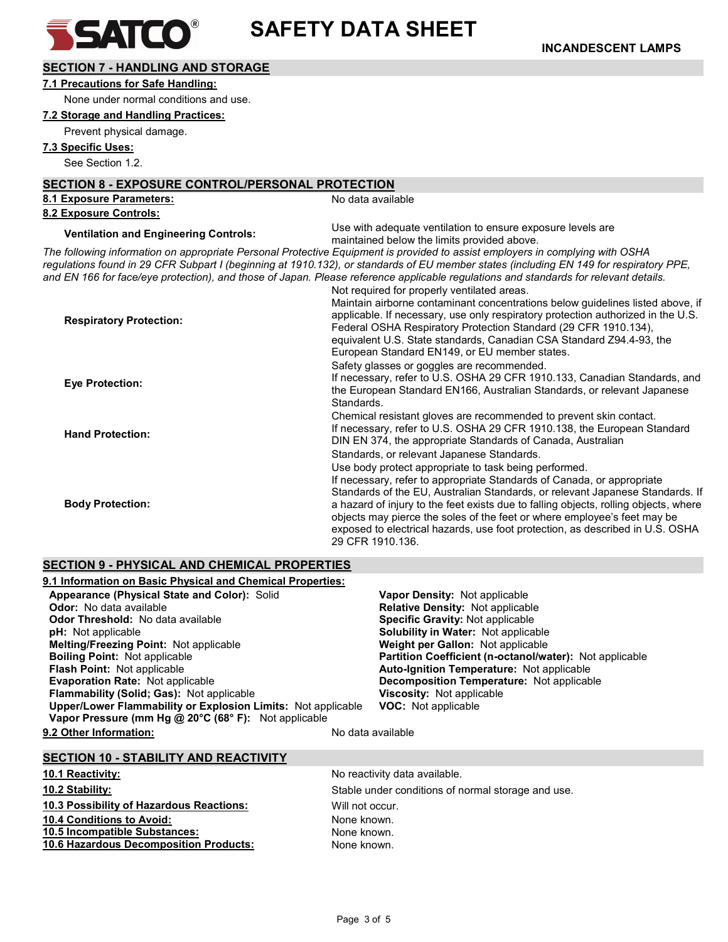

# SECTION 7 - HANDLING AND STORAGE

#### 7.1 Precautions for Safe Handling:

None under normal conditions and use.

# 7.2 Storage and Handling Practices:

Prevent physical damage.

# 7.3 Specific Uses:

See Section 1.2.

# SECTION 8 - EXPOSURE CONTROL/PERSONAL PROTECTION

| <u>ULVIIUI VEIN UUUINE VUITIINUEILEINUU</u> |  |
|---------------------------------------------|--|
| 8.1 Exposure Parameters:                    |  |
| 8.2 Exposure Controls:                      |  |

No data available

Ventilation and Engineering Controls:<br>
Use with adequate ventilation to ensure exposure levels are<br>
use the limit arguing a house of the limit arguing a house maintained below the limits provided above.

The following information on appropriate Personal Protective Equipment is provided to assist employers in complying with OSHA regulations found in 29 CFR Subpart I (beginning at 1910.132), or standards of EU member states (including EN 149 for respiratory PPE, and EN 166 for face/eye protection), and those of Japan. Please reference applicable regulations and standards for relevant details.

|                                | Not required for properly ventilated areas.                                                                                                                                                                                                                                                                                                                    |
|--------------------------------|----------------------------------------------------------------------------------------------------------------------------------------------------------------------------------------------------------------------------------------------------------------------------------------------------------------------------------------------------------------|
| <b>Respiratory Protection:</b> | Maintain airborne contaminant concentrations below quidelines listed above, if<br>applicable. If necessary, use only respiratory protection authorized in the U.S.<br>Federal OSHA Respiratory Protection Standard (29 CFR 1910.134).<br>equivalent U.S. State standards, Canadian CSA Standard Z94.4-93, the<br>European Standard EN149, or EU member states. |
|                                | Safety glasses or goggles are recommended.                                                                                                                                                                                                                                                                                                                     |
| <b>Eye Protection:</b>         | If necessary, refer to U.S. OSHA 29 CFR 1910.133, Canadian Standards, and<br>the European Standard EN166, Australian Standards, or relevant Japanese<br>Standards.                                                                                                                                                                                             |
|                                | Chemical resistant gloves are recommended to prevent skin contact.                                                                                                                                                                                                                                                                                             |
| <b>Hand Protection:</b>        | If necessary, refer to U.S. OSHA 29 CFR 1910.138, the European Standard<br>DIN EN 374, the appropriate Standards of Canada, Australian                                                                                                                                                                                                                         |
|                                | Standards, or relevant Japanese Standards.                                                                                                                                                                                                                                                                                                                     |
|                                | Use body protect appropriate to task being performed.                                                                                                                                                                                                                                                                                                          |
| <b>Body Protection:</b>        | If necessary, refer to appropriate Standards of Canada, or appropriate                                                                                                                                                                                                                                                                                         |
|                                | Standards of the EU, Australian Standards, or relevant Japanese Standards. If                                                                                                                                                                                                                                                                                  |
|                                | a hazard of injury to the feet exists due to falling objects, rolling objects, where<br>objects may pierce the soles of the feet or where employee's feet may be                                                                                                                                                                                               |
|                                | exposed to electrical hazards, use foot protection, as described in U.S. OSHA                                                                                                                                                                                                                                                                                  |
|                                | 29 CFR 1910.136.                                                                                                                                                                                                                                                                                                                                               |

# SECTION 9 - PHYSICAL AND CHEMICAL PROPERTIES

| 9.1 Information on Basic Physical and Chemical Properties:   |                                                                |
|--------------------------------------------------------------|----------------------------------------------------------------|
| Appearance (Physical State and Color): Solid                 | <b>Vapor Density: Not applicable</b>                           |
| <b>Odor:</b> No data available                               | <b>Relative Density: Not applicable</b>                        |
| <b>Odor Threshold:</b> No data available                     | <b>Specific Gravity: Not applicable</b>                        |
| <b>pH:</b> Not applicable                                    | <b>Solubility in Water: Not applicable</b>                     |
| <b>Melting/Freezing Point: Not applicable</b>                | <b>Weight per Gallon: Not applicable</b>                       |
| <b>Boiling Point: Not applicable</b>                         | <b>Partition Coefficient (n-octanol/water):</b> Not applicable |
| <b>Flash Point: Not applicable</b>                           | <b>Auto-Ignition Temperature:</b> Not applicable               |
| <b>Evaporation Rate: Not applicable</b>                      | <b>Decomposition Temperature:</b> Not applicable               |
| <b>Flammability (Solid: Gas): Not applicable</b>             | <b>Viscosity: Not applicable</b>                               |
| Upper/Lower Flammability or Explosion Limits: Not applicable | <b>VOC:</b> Not applicable                                     |
| Vapor Pressure (mm Hg @ 20°C (68° F): Not applicable         |                                                                |
| 9.2 Other Information:                                       | No data available                                              |

# SECTION 10 - STABILITY AND REACTIVITY

# 10.1 Reactivity: The same state of the set of the North More activity data available. 10.3 Possibility of Hazardous Reactions: Will not occur. 10.4 Conditions to Avoid: None known. 10.5 Incompatible Substances: None known. 10.6 Hazardous Decomposition Products: None known.

10.2 Stability: Stable under conditions of normal storage and use.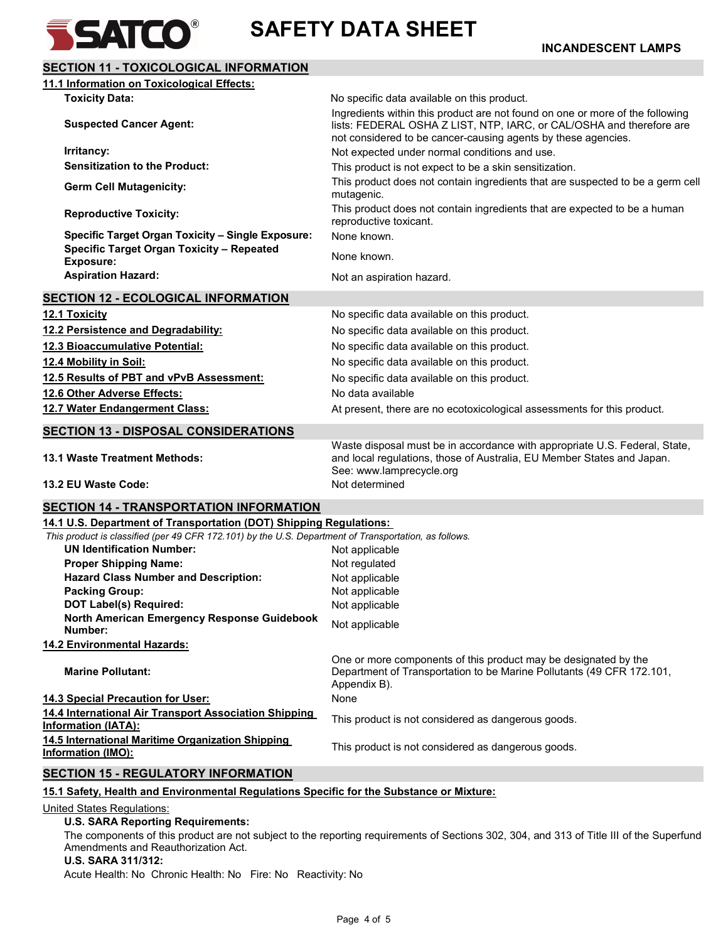

# SECTION 11 - TOXICOLOGICAL INFORMATION 11.1 Information on Toxicological Effects: Toxicity Data:  $\blacksquare$  No specific data available on this product. Suspected Cancer Agent: Ingredients within this product are not found on one or more of the following lists: FEDERAL OSHA Z LIST, NTP, IARC, or CAL/OSHA and therefore are not considered to be cancer-causing agents by these agencies. Irritancy: Not expected under normal conditions and use. Sensitization to the Product: This product is not expect to be a skin sensitization. Germ Cell Mutagenicity: This product does not contain ingredients that are suspected to be a germ cell mutagenic. Reproductive Toxicity: This product does not contain ingredients that are expected to be a human reproductive toxicant. Specific Target Organ Toxicity – Single Exposure: None known. Specific Target Organ Toxicity – Repeated Exposure: None known. Aspiration Hazard: Not an aspiration hazard. SECTION 12 - ECOLOGICAL INFORMATION 12.1 Toxicity **12.1 Toxicity 12.1 Toxicity 12.1 Toxicity 12.1 Toxicity 12.1 Toxicity 12.1 Toxicity 12.1 Toxicity 12.1 Toxicity 12.1 Toxicity 12.1 Toxicity 12.1 Toxicity 12.1 Toxicity 12.1 Toxicity** 12.2 Persistence and Degradability: No specific data available on this product. 12.3 Bioaccumulative Potential: **No specific data available on this product.** 12.4 Mobility in Soil: No specific data available on this product. 12.5 Results of PBT and vPvB Assessment: No specific data available on this product. 12.6 Other Adverse Effects: No data available 12.7 Water Endangerment Class: **At present, there are no ecotoxicological assessments for this product.** SECTION 13 - DISPOSAL CONSIDERATIONS 13.1 Waste Treatment Methods: Waste disposal must be in accordance with appropriate U.S. Federal, State, and local regulations, those of Australia, EU Member States and Japan. See: www.lamprecycle.org 13.2 EU Waste Code: Not determined SECTION 14 - TRANSPORTATION INFORMATION 14.1 U.S. Department of Transportation (DOT) Shipping Regulations: This product is classified (per 49 CFR 172.101) by the U.S. Department of Transportation, as follows. UN Identification Number: Not applicable Proper Shipping Name: Not regulated Hazard Class Number and Description: Not applicable Packing Group: Not applicable DOT Label(s) Required: Not applicable North American Emergency Response Guidebook Number: Not applicable 14.2 Environmental Hazards: Marine Pollutant: One or more components of this product may be designated by the Department of Transportation to be Marine Pollutants (49 CFR 172.101, Appendix B). 14.3 Special Precaution for User: None 14.4 International Air Transport Association Shipping **IF.4 International All Transport Association Sinpping** This product is not considered as dangerous goods. 14.5 International Maritime Organization Shipping **IFIC INCORDITE INCOCO EXAMPLE 2018 INCORDITE 15 This product is not considered as dangerous goods.**<br>Information (IMO): SECTION 15 - REGULATORY INFORMATION 15.1 Safety, Health and Environmental Regulations Specific for the Substance or Mixture:

United States Regulations:

#### U.S. SARA Reporting Requirements:

 The components of this product are not subject to the reporting requirements of Sections 302, 304, and 313 of Title III of the Superfund Amendments and Reauthorization Act.

#### U.S. SARA 311/312:

Acute Health: No Chronic Health: No Fire: No Reactivity: No